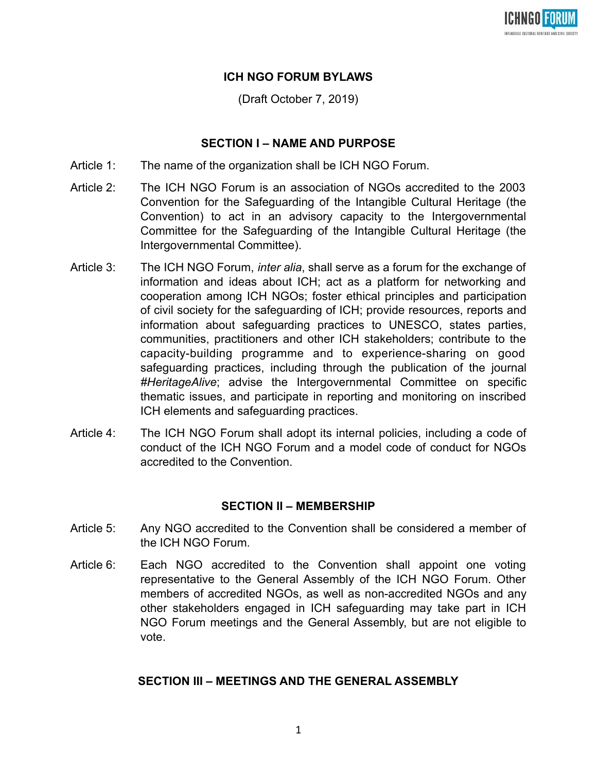

# **ICH NGO FORUM BYLAWS**

(Draft October 7, 2019)

### **SECTION I – NAME AND PURPOSE**

- Article 1: The name of the organization shall be ICH NGO Forum.
- Article 2: The ICH NGO Forum is an association of NGOs accredited to the 2003 Convention for the Safeguarding of the Intangible Cultural Heritage (the Convention) to act in an advisory capacity to the Intergovernmental Committee for the Safeguarding of the Intangible Cultural Heritage (the Intergovernmental Committee).
- Article 3: The ICH NGO Forum, *inter alia*, shall serve as a forum for the exchange of information and ideas about ICH; act as a platform for networking and cooperation among ICH NGOs; foster ethical principles and participation of civil society for the safeguarding of ICH; provide resources, reports and information about safeguarding practices to UNESCO, states parties, communities, practitioners and other ICH stakeholders; contribute to the capacity-building programme and to experience-sharing on good safeguarding practices, including through the publication of the journal *#HeritageAlive*; advise the Intergovernmental Committee on specific thematic issues, and participate in reporting and monitoring on inscribed ICH elements and safeguarding practices.
- Article 4: The ICH NGO Forum shall adopt its internal policies, including a code of conduct of the ICH NGO Forum and a model code of conduct for NGOs accredited to the Convention.

#### **SECTION II – MEMBERSHIP**

- Article 5: Any NGO accredited to the Convention shall be considered a member of the ICH NGO Forum.
- Article 6: Each NGO accredited to the Convention shall appoint one voting representative to the General Assembly of the ICH NGO Forum. Other members of accredited NGOs, as well as non-accredited NGOs and any other stakeholders engaged in ICH safeguarding may take part in ICH NGO Forum meetings and the General Assembly, but are not eligible to vote.

## **SECTION III – MEETINGS AND THE GENERAL ASSEMBLY**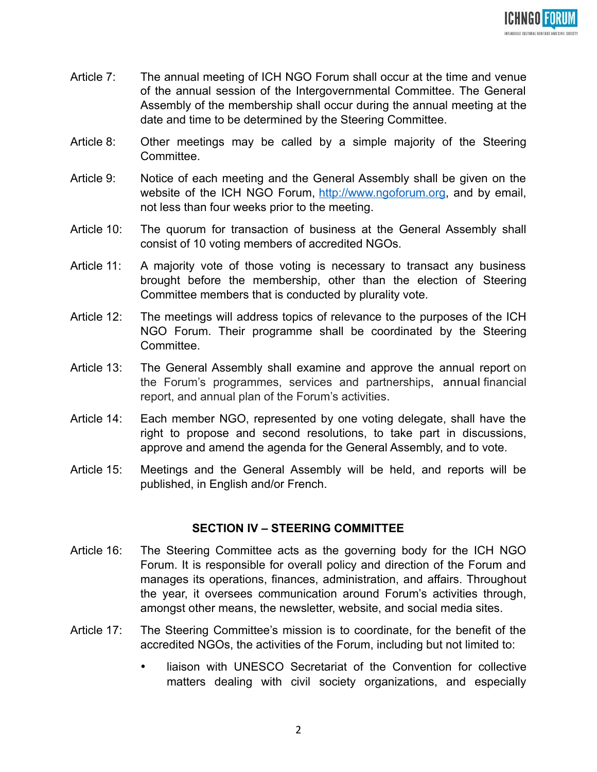

- Article 7: The annual meeting of ICH NGO Forum shall occur at the time and venue of the annual session of the Intergovernmental Committee. The General Assembly of the membership shall occur during the annual meeting at the date and time to be determined by the Steering Committee.
- Article 8: Other meetings may be called by a simple majority of the Steering Committee.
- Article 9: Notice of each meeting and the General Assembly shall be given on the website of the ICH NGO Forum, [http://www.ngoforum.org,](http://www.ngoforum.org/) and by email, not less than four weeks prior to the meeting.
- Article 10: The quorum for transaction of business at the General Assembly shall consist of 10 voting members of accredited NGOs.
- Article 11: A majority vote of those voting is necessary to transact any business brought before the membership, other than the election of Steering Committee members that is conducted by plurality vote.
- Article 12: The meetings will address topics of relevance to the purposes of the ICH NGO Forum. Their programme shall be coordinated by the Steering Committee.
- Article 13: The General Assembly shall examine and approve the annual report on the Forum's programmes, services and partnerships, annual financial report, and annual plan of the Forum's activities.
- Article 14: Each member NGO, represented by one voting delegate, shall have the right to propose and second resolutions, to take part in discussions, approve and amend the agenda for the General Assembly, and to vote.
- Article 15: Meetings and the General Assembly will be held, and reports will be published, in English and/or French.

#### **SECTION IV – STEERING COMMITTEE**

- Article 16: The Steering Committee acts as the governing body for the ICH NGO Forum. It is responsible for overall policy and direction of the Forum and manages its operations, finances, administration, and affairs. Throughout the year, it oversees communication around Forum's activities through, amongst other means, the newsletter, website, and social media sites.
- Article 17: The Steering Committee's mission is to coordinate, for the benefit of the accredited NGOs, the activities of the Forum, including but not limited to:
	- liaison with UNESCO Secretariat of the Convention for collective matters dealing with civil society organizations, and especially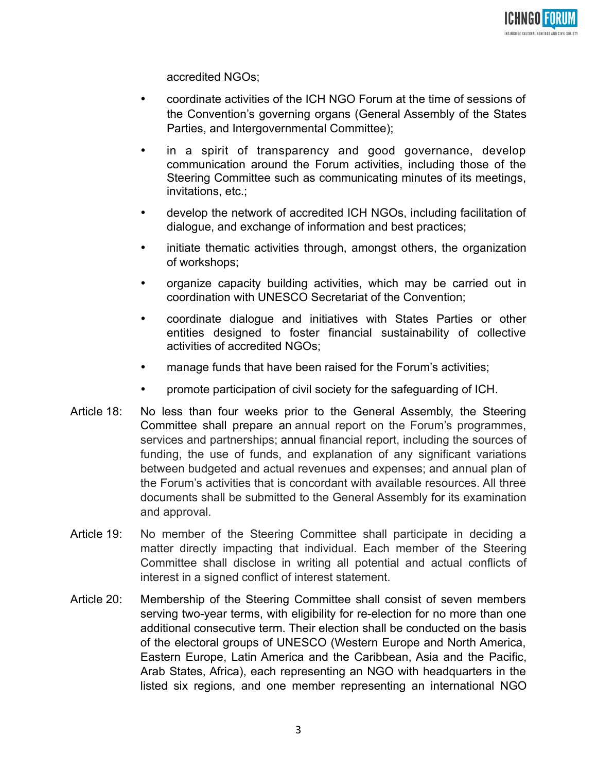

accredited NGOs;

- coordinate activities of the ICH NGO Forum at the time of sessions of the Convention's governing organs (General Assembly of the States Parties, and Intergovernmental Committee);
- in a spirit of transparency and good governance, develop communication around the Forum activities, including those of the Steering Committee such as communicating minutes of its meetings, invitations, etc.;
- develop the network of accredited ICH NGOs, including facilitation of dialogue, and exchange of information and best practices;
- initiate thematic activities through, amongst others, the organization of workshops;
- organize capacity building activities, which may be carried out in coordination with UNESCO Secretariat of the Convention;
- coordinate dialogue and initiatives with States Parties or other entities designed to foster financial sustainability of collective activities of accredited NGOs;
- manage funds that have been raised for the Forum's activities;
- promote participation of civil society for the safeguarding of ICH.
- Article 18: No less than four weeks prior to the General Assembly, the Steering Committee shall prepare an annual report on the Forum's programmes, services and partnerships; annual financial report, including the sources of funding, the use of funds, and explanation of any significant variations between budgeted and actual revenues and expenses; and annual plan of the Forum's activities that is concordant with available resources. All three documents shall be submitted to the General Assembly for its examination and approval.
- Article 19: No member of the Steering Committee shall participate in deciding a matter directly impacting that individual. Each member of the Steering Committee shall disclose in writing all potential and actual conflicts of interest in a signed conflict of interest statement.
- Article 20: Membership of the Steering Committee shall consist of seven members serving two-year terms, with eligibility for re-election for no more than one additional consecutive term. Their election shall be conducted on the basis of the electoral groups of UNESCO (Western Europe and North America, Eastern Europe, Latin America and the Caribbean, Asia and the Pacific, Arab States, Africa), each representing an NGO with headquarters in the listed six regions, and one member representing an international NGO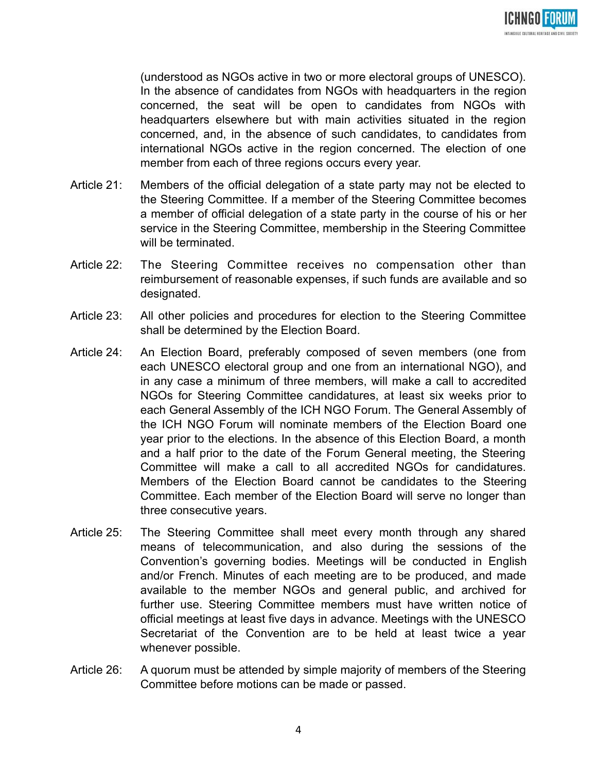

(understood as NGOs active in two or more electoral groups of UNESCO). In the absence of candidates from NGOs with headquarters in the region concerned, the seat will be open to candidates from NGOs with headquarters elsewhere but with main activities situated in the region concerned, and, in the absence of such candidates, to candidates from international NGOs active in the region concerned. The election of one member from each of three regions occurs every year.

- Article 21: Members of the official delegation of a state party may not be elected to the Steering Committee. If a member of the Steering Committee becomes a member of official delegation of a state party in the course of his or her service in the Steering Committee, membership in the Steering Committee will be terminated.
- Article 22: The Steering Committee receives no compensation other than reimbursement of reasonable expenses, if such funds are available and so designated.
- Article 23: All other policies and procedures for election to the Steering Committee shall be determined by the Election Board.
- Article 24: An Election Board, preferably composed of seven members (one from each UNESCO electoral group and one from an international NGO), and in any case a minimum of three members, will make a call to accredited NGOs for Steering Committee candidatures, at least six weeks prior to each General Assembly of the ICH NGO Forum. The General Assembly of the ICH NGO Forum will nominate members of the Election Board one year prior to the elections. In the absence of this Election Board, a month and a half prior to the date of the Forum General meeting, the Steering Committee will make a call to all accredited NGOs for candidatures. Members of the Election Board cannot be candidates to the Steering Committee. Each member of the Election Board will serve no longer than three consecutive years.
- Article 25: The Steering Committee shall meet every month through any shared means of telecommunication, and also during the sessions of the Convention's governing bodies. Meetings will be conducted in English and/or French. Minutes of each meeting are to be produced, and made available to the member NGOs and general public, and archived for further use. Steering Committee members must have written notice of official meetings at least five days in advance. Meetings with the UNESCO Secretariat of the Convention are to be held at least twice a year whenever possible.
- Article 26: A quorum must be attended by simple majority of members of the Steering Committee before motions can be made or passed.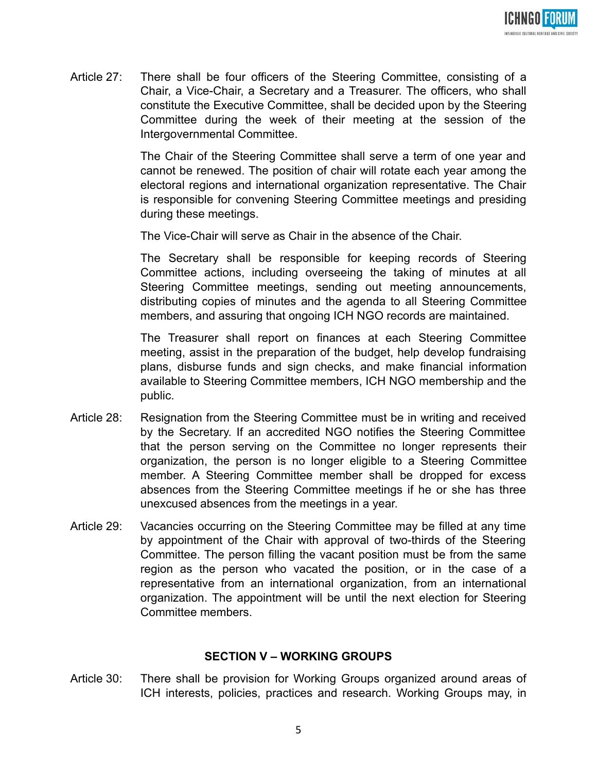

Article 27: There shall be four officers of the Steering Committee, consisting of a Chair, a Vice-Chair, a Secretary and a Treasurer. The officers, who shall constitute the Executive Committee, shall be decided upon by the Steering Committee during the week of their meeting at the session of the Intergovernmental Committee.

> The Chair of the Steering Committee shall serve a term of one year and cannot be renewed. The position of chair will rotate each year among the electoral regions and international organization representative. The Chair is responsible for convening Steering Committee meetings and presiding during these meetings.

The Vice-Chair will serve as Chair in the absence of the Chair.

The Secretary shall be responsible for keeping records of Steering Committee actions, including overseeing the taking of minutes at all Steering Committee meetings, sending out meeting announcements, distributing copies of minutes and the agenda to all Steering Committee members, and assuring that ongoing ICH NGO records are maintained.

The Treasurer shall report on finances at each Steering Committee meeting, assist in the preparation of the budget, help develop fundraising plans, disburse funds and sign checks, and make financial information available to Steering Committee members, ICH NGO membership and the public.

- Article 28: Resignation from the Steering Committee must be in writing and received by the Secretary. If an accredited NGO notifies the Steering Committee that the person serving on the Committee no longer represents their organization, the person is no longer eligible to a Steering Committee member. A Steering Committee member shall be dropped for excess absences from the Steering Committee meetings if he or she has three unexcused absences from the meetings in a year.
- Article 29: Vacancies occurring on the Steering Committee may be filled at any time by appointment of the Chair with approval of two-thirds of the Steering Committee. The person filling the vacant position must be from the same region as the person who vacated the position, or in the case of a representative from an international organization, from an international organization. The appointment will be until the next election for Steering Committee members.

## **SECTION V – WORKING GROUPS**

Article 30: There shall be provision for Working Groups organized around areas of ICH interests, policies, practices and research. Working Groups may, in